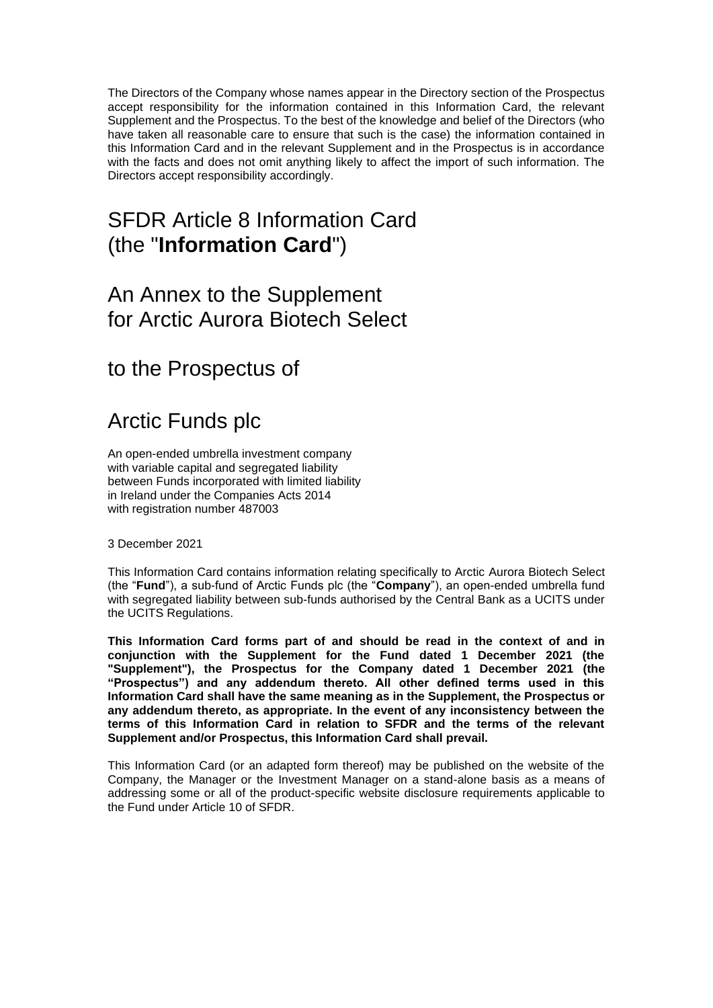The Directors of the Company whose names appear in the Directory section of the Prospectus accept responsibility for the information contained in this Information Card, the relevant Supplement and the Prospectus. To the best of the knowledge and belief of the Directors (who have taken all reasonable care to ensure that such is the case) the information contained in this Information Card and in the relevant Supplement and in the Prospectus is in accordance with the facts and does not omit anything likely to affect the import of such information. The Directors accept responsibility accordingly.

## SFDR Article 8 Information Card (the "**Information Card**")

### An Annex to the Supplement for Arctic Aurora Biotech Select

to the Prospectus of

# Arctic Funds plc

An open-ended umbrella investment company with variable capital and segregated liability between Funds incorporated with limited liability in Ireland under the Companies Acts 2014 with registration number 487003

3 December 2021

This Information Card contains information relating specifically to Arctic Aurora Biotech Select (the "**Fund**"), a sub-fund of Arctic Funds plc (the "**Company**"), an open-ended umbrella fund with segregated liability between sub-funds authorised by the Central Bank as a UCITS under the UCITS Regulations.

**This Information Card forms part of and should be read in the context of and in conjunction with the Supplement for the Fund dated 1 December 2021 (the "Supplement"), the Prospectus for the Company dated 1 December 2021 (the "Prospectus") and any addendum thereto. All other defined terms used in this Information Card shall have the same meaning as in the Supplement, the Prospectus or any addendum thereto, as appropriate. In the event of any inconsistency between the terms of this Information Card in relation to SFDR and the terms of the relevant Supplement and/or Prospectus, this Information Card shall prevail.**

This Information Card (or an adapted form thereof) may be published on the website of the Company, the Manager or the Investment Manager on a stand-alone basis as a means of addressing some or all of the product-specific website disclosure requirements applicable to the Fund under Article 10 of SFDR.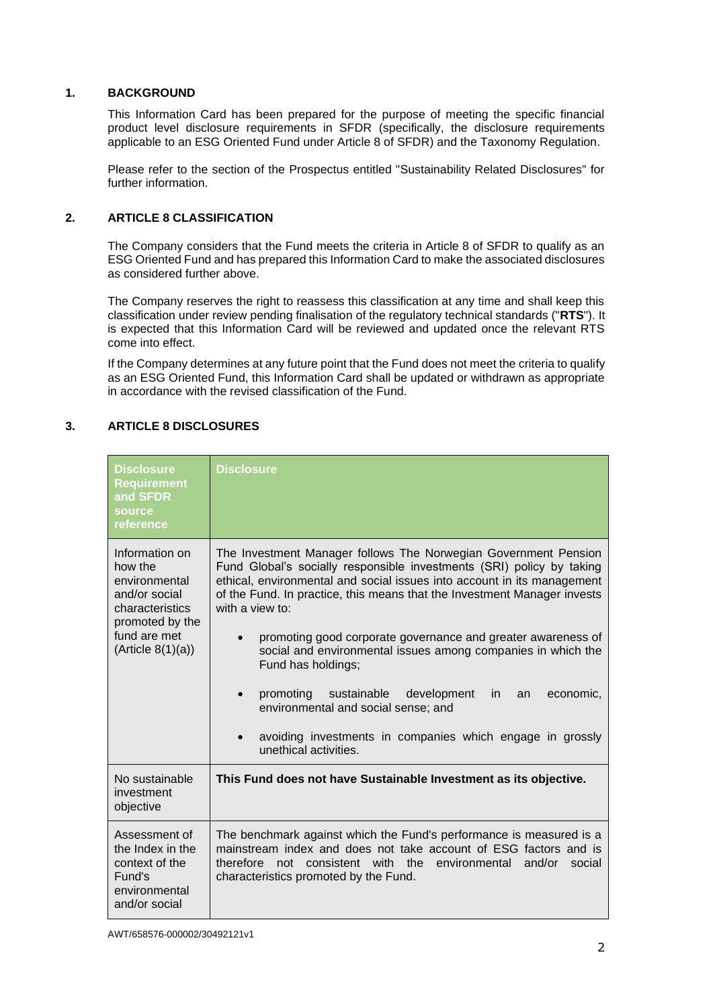#### **1. BACKGROUND**

This Information Card has been prepared for the purpose of meeting the specific financial product level disclosure requirements in SFDR (specifically, the disclosure requirements applicable to an ESG Oriented Fund under Article 8 of SFDR) and the Taxonomy Regulation.

Please refer to the section of the Prospectus entitled "Sustainability Related Disclosures" for further information.

#### **2. ARTICLE 8 CLASSIFICATION**

The Company considers that the Fund meets the criteria in Article 8 of SFDR to qualify as an ESG Oriented Fund and has prepared this Information Card to make the associated disclosures as considered further above.

The Company reserves the right to reassess this classification at any time and shall keep this classification under review pending finalisation of the regulatory technical standards ("**RTS**"). It is expected that this Information Card will be reviewed and updated once the relevant RTS come into effect.

If the Company determines at any future point that the Fund does not meet the criteria to qualify as an ESG Oriented Fund, this Information Card shall be updated or withdrawn as appropriate in accordance with the revised classification of the Fund.

#### **3. ARTICLE 8 DISCLOSURES**

| <b>Disclosure</b><br><b>Requirement</b><br>and SFDR<br>source<br>reference                                                              | <b>Disclosure</b>                                                                                                                                                                                                                                                                                                                                                                                                                                                                                                                                                                                                                              |
|-----------------------------------------------------------------------------------------------------------------------------------------|------------------------------------------------------------------------------------------------------------------------------------------------------------------------------------------------------------------------------------------------------------------------------------------------------------------------------------------------------------------------------------------------------------------------------------------------------------------------------------------------------------------------------------------------------------------------------------------------------------------------------------------------|
| Information on<br>how the<br>environmental<br>and/or social<br>characteristics<br>promoted by the<br>fund are met<br>(Ariticle 8(1)(a)) | The Investment Manager follows The Norwegian Government Pension<br>Fund Global's socially responsible investments (SRI) policy by taking<br>ethical, environmental and social issues into account in its management<br>of the Fund. In practice, this means that the Investment Manager invests<br>with a view to:<br>promoting good corporate governance and greater awareness of<br>social and environmental issues among companies in which the<br>Fund has holdings;<br>promoting<br>sustainable development<br>in.<br>economic,<br>an<br>environmental and social sense; and<br>avoiding investments in companies which engage in grossly |
|                                                                                                                                         | unethical activities.                                                                                                                                                                                                                                                                                                                                                                                                                                                                                                                                                                                                                          |
| No sustainable<br>investment<br>objective                                                                                               | This Fund does not have Sustainable Investment as its objective.                                                                                                                                                                                                                                                                                                                                                                                                                                                                                                                                                                               |
| Assessment of<br>the Index in the<br>context of the<br>Fund's<br>environmental<br>and/or social                                         | The benchmark against which the Fund's performance is measured is a<br>mainstream index and does not take account of ESG factors and is<br>consistent with the<br>environmental<br>and/or<br>therefore<br>not<br>social<br>characteristics promoted by the Fund.                                                                                                                                                                                                                                                                                                                                                                               |